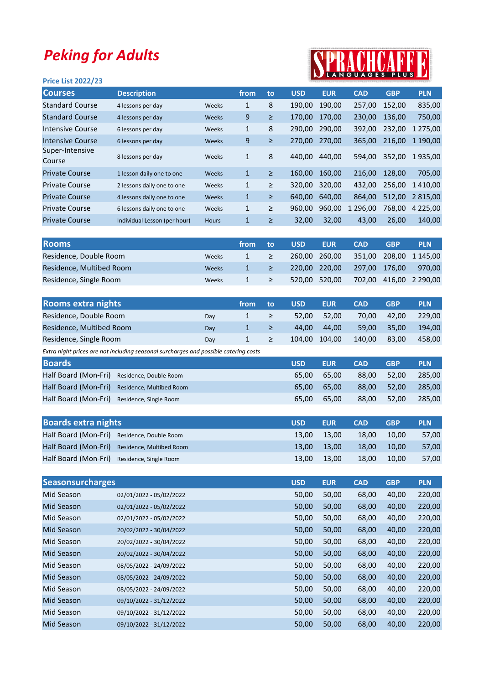## Peking for Adults

## **KAUTUALI**

| <b>Price List 2022/23</b> |                              |              | $\blacksquare$ | . <u>. .</u> |            |            |             |            |               |
|---------------------------|------------------------------|--------------|----------------|--------------|------------|------------|-------------|------------|---------------|
| <b>Courses</b>            | <b>Description</b>           |              | from           | to           | <b>USD</b> | <b>EUR</b> | <b>CAD</b>  | <b>GBP</b> | <b>PLN</b>    |
| <b>Standard Course</b>    | 4 lessons per day            | Weeks        | 1              | 8            | 190,00     | 190,00     | 257,00      | 152,00     | 835,00        |
| <b>Standard Course</b>    | 4 lessons per day            | <b>Weeks</b> | 9              | $\geq$       | 170.00     | 170.00     | 230,00      | 136,00     | 750,00        |
| Intensive Course          | 6 lessons per day            | Weeks        | 1              | 8            | 290.00     | 290.00     | 392.00      | 232.00     | 1 275.00      |
| Intensive Course          | 6 lessons per day            | <b>Weeks</b> | 9              | $\geq$       | 270.00     | 270,00     | 365.00      | 216,00     | 1 190.00      |
| Super-Intensive<br>Course | 8 lessons per day            | Weeks        | 1              | 8            | 440.00     | 440.00     | 594,00      | 352,00     | 1935,00       |
| <b>Private Course</b>     | 1 lesson daily one to one    | Weeks        | $\mathbf{1}$   | $\geq$       | 160,00     | 160.00     | 216.00      | 128.00     | 705,00        |
| <b>Private Course</b>     | 2 lessons daily one to one   | Weeks        | 1              | ≥            | 320,00     | 320.00     | 432.00      | 256,00     | 1410.00       |
| <b>Private Course</b>     | 4 lessons daily one to one   | <b>Weeks</b> | $\mathbf{1}$   | ≥            | 640.00     | 640,00     | 864.00      | 512,00     | 2 815,00      |
| <b>Private Course</b>     | 6 lessons daily one to one   | Weeks        | $\mathbf{1}$   | ≥            | 960.00     | 960,00     | 296.00<br>1 | 768,00     | 4 2 2 5 , 0 0 |
| <b>Private Course</b>     | Individual Lesson (per hour) | <b>Hours</b> | $\mathbf{1}$   | ≥            | 32,00      | 32,00      | 43,00       | 26,00      | 140,00        |
|                           |                              |              |                |              |            |            |             |            |               |

| <b>Rooms</b>             |       | from: | to | <b>USD</b> | <b>EUR</b>    | <b>CAD</b> | <b>GBP</b> | <b>PLN</b>      |
|--------------------------|-------|-------|----|------------|---------------|------------|------------|-----------------|
| Residence, Double Room   | Weeks |       | ≥  |            | 260.00 260.00 | 351.00     |            | 208,00 1 145,00 |
| Residence, Multibed Room | Weeks |       | ≥  |            | 220.00 220.00 | 297.00     | 176.00     | 970.00          |
| Residence, Single Room   | Weeks |       | ≥  |            | 520.00 520.00 | 702.00     |            | 416.00 2 290.00 |

| 42.00 | 229.00                   |
|-------|--------------------------|
| 35.00 | 194.00                   |
| 83.00 | 458.00                   |
|       | 70.00<br>59.00<br>140.00 |

Extra night prices are not including seasonal surcharges and possible catering costs

| <b>Boards</b>                               |                                               | <b>USD</b> | <b>EUR</b> | <b>CAD</b> | <b>GBP</b> | <b>PLN</b> |
|---------------------------------------------|-----------------------------------------------|------------|------------|------------|------------|------------|
| Half Board (Mon-Fri) Residence, Double Room |                                               | 65.00      | 65.00      | 88.00      | 52.00      | 285.00     |
|                                             | Half Board (Mon-Fri) Residence, Multibed Room | 65.00      | 65.00      | 88.00      | 52.00      | 285.00     |
| Half Board (Mon-Fri) Residence, Single Room |                                               | 65.00      | 65.00      | 88.00      | 52.00      | 285.00     |

| <b>Boards extra nights</b>                    | <b>USD</b> | <b>EUR</b> | <b>CAD</b> | <b>GBP</b> | <b>PLN</b> |
|-----------------------------------------------|------------|------------|------------|------------|------------|
| Half Board (Mon-Fri) Residence, Double Room   | 13.00      | 13.00      | 18.00      | 10.00      | 57,00      |
| Half Board (Mon-Fri) Residence, Multibed Room | 13.00      | 13.00      | 18.00      | 10.00      | 57,00      |
| Half Board (Mon-Fri) Residence, Single Room   | 13.00      | 13.00      | 18.00      | 10.00      | 57,00      |

| <b>Seasonsurcharges</b> |                         | <b>USD</b> | <b>EUR</b> | <b>CAD</b> | <b>GBP</b> | <b>PLN</b> |
|-------------------------|-------------------------|------------|------------|------------|------------|------------|
| Mid Season              | 02/01/2022 - 05/02/2022 | 50,00      | 50,00      | 68,00      | 40,00      | 220,00     |
| Mid Season              | 02/01/2022 - 05/02/2022 | 50,00      | 50,00      | 68,00      | 40,00      | 220,00     |
| Mid Season              | 02/01/2022 - 05/02/2022 | 50,00      | 50,00      | 68,00      | 40,00      | 220,00     |
| Mid Season              | 20/02/2022 - 30/04/2022 | 50,00      | 50,00      | 68,00      | 40,00      | 220,00     |
| Mid Season              | 20/02/2022 - 30/04/2022 | 50,00      | 50,00      | 68,00      | 40,00      | 220,00     |
| Mid Season              | 20/02/2022 - 30/04/2022 | 50,00      | 50,00      | 68,00      | 40,00      | 220,00     |
| Mid Season              | 08/05/2022 - 24/09/2022 | 50,00      | 50,00      | 68,00      | 40,00      | 220,00     |
| Mid Season              | 08/05/2022 - 24/09/2022 | 50,00      | 50,00      | 68,00      | 40,00      | 220,00     |
| Mid Season              | 08/05/2022 - 24/09/2022 | 50,00      | 50,00      | 68,00      | 40,00      | 220,00     |
| Mid Season              | 09/10/2022 - 31/12/2022 | 50,00      | 50,00      | 68,00      | 40,00      | 220,00     |
| Mid Season              | 09/10/2022 - 31/12/2022 | 50,00      | 50,00      | 68,00      | 40,00      | 220,00     |
| <b>Mid Season</b>       | 09/10/2022 - 31/12/2022 | 50,00      | 50,00      | 68,00      | 40,00      | 220,00     |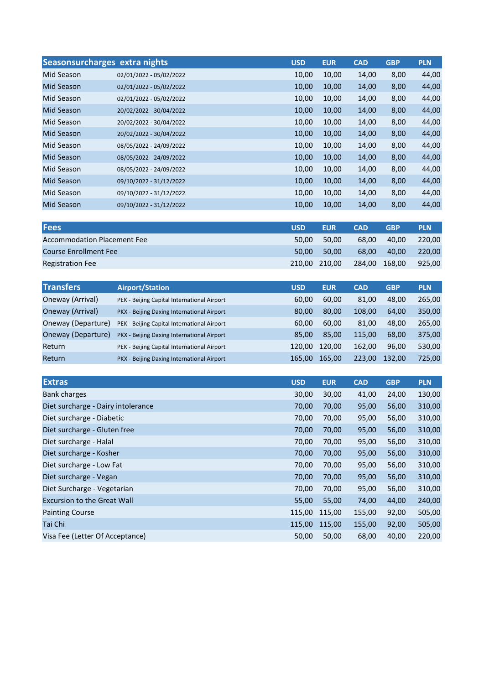|                   | Seasonsurcharges extra nights | <b>USD</b> | <b>EUR</b> | <b>CAD</b> | <b>GBP</b> | <b>PLN</b> |
|-------------------|-------------------------------|------------|------------|------------|------------|------------|
| Mid Season        | 02/01/2022 - 05/02/2022       | 10,00      | 10,00      | 14,00      | 8,00       | 44,00      |
| Mid Season        | 02/01/2022 - 05/02/2022       | 10,00      | 10,00      | 14,00      | 8,00       | 44,00      |
| Mid Season        | 02/01/2022 - 05/02/2022       | 10,00      | 10,00      | 14,00      | 8,00       | 44,00      |
| Mid Season        | 20/02/2022 - 30/04/2022       | 10,00      | 10,00      | 14,00      | 8,00       | 44,00      |
| Mid Season        | 20/02/2022 - 30/04/2022       | 10,00      | 10,00      | 14,00      | 8,00       | 44,00      |
| Mid Season        | 20/02/2022 - 30/04/2022       | 10,00      | 10,00      | 14,00      | 8,00       | 44,00      |
| Mid Season        | 08/05/2022 - 24/09/2022       | 10,00      | 10,00      | 14,00      | 8,00       | 44,00      |
| Mid Season        | 08/05/2022 - 24/09/2022       | 10,00      | 10,00      | 14,00      | 8,00       | 44,00      |
| Mid Season        | 08/05/2022 - 24/09/2022       | 10,00      | 10,00      | 14,00      | 8,00       | 44,00      |
| Mid Season        | 09/10/2022 - 31/12/2022       | 10,00      | 10,00      | 14,00      | 8,00       | 44,00      |
| Mid Season        | 09/10/2022 - 31/12/2022       | 10,00      | 10,00      | 14,00      | 8,00       | 44,00      |
| <b>Mid Season</b> | 09/10/2022 - 31/12/2022       | 10,00      | 10,00      | 14,00      | 8,00       | 44,00      |

| <b>Fees</b>                        | <b>USD</b> | <b>EUR</b>    | <b>CAD</b> | <b>GBP</b>    | <b>PLN</b> |
|------------------------------------|------------|---------------|------------|---------------|------------|
| <b>Accommodation Placement Fee</b> | 50.00      | 50.00         | 68.00      | 40.00         | 220.00     |
| <b>Course Enrollment Fee</b>       | 50.00      | 50.00         | 68.00      | 40.00         | 220,00     |
| <b>Registration Fee</b>            |            | 210,00 210,00 |            | 284,00 168,00 | 925,00     |

| <b>Transfers</b>   | <b>Airport/Station</b>                      | <b>USD</b> | <b>EUR</b> | <b>CAD</b> | <b>GBP</b> | <b>PLN</b> |
|--------------------|---------------------------------------------|------------|------------|------------|------------|------------|
| Oneway (Arrival)   | PEK - Beijing Capital International Airport | 60.00      | 60,00      | 81,00      | 48,00      | 265,00     |
| Oneway (Arrival)   | PKX - Beijing Daxing International Airport  | 80.00      | 80,00      | 108,00     | 64,00      | 350,00     |
| Oneway (Departure) | PEK - Beijing Capital International Airport | 60.00      | 60,00      | 81.00      | 48,00      | 265,00     |
| Oneway (Departure) | PKX - Beijing Daxing International Airport  | 85.00      | 85,00      | 115,00     | 68,00      | 375,00     |
| Return             | PEK - Beijing Capital International Airport | 120.00     | 120,00     | 162,00     | 96,00      | 530,00     |
| Return             | PKX - Beijing Daxing International Airport  | 165,00     | 165,00     | 223,00     | 132,00     | 725,00     |

| <b>Extras</b>                      | <b>USD</b> | <b>EUR</b> | <b>CAD</b> | <b>GBP</b> | <b>PLN</b> |
|------------------------------------|------------|------------|------------|------------|------------|
| <b>Bank charges</b>                | 30,00      | 30,00      | 41,00      | 24,00      | 130,00     |
| Diet surcharge - Dairy intolerance | 70,00      | 70,00      | 95,00      | 56,00      | 310,00     |
| Diet surcharge - Diabetic          | 70,00      | 70,00      | 95,00      | 56,00      | 310,00     |
| Diet surcharge - Gluten free       | 70,00      | 70,00      | 95,00      | 56,00      | 310,00     |
| Diet surcharge - Halal             | 70,00      | 70,00      | 95,00      | 56,00      | 310,00     |
| Diet surcharge - Kosher            | 70,00      | 70,00      | 95,00      | 56,00      | 310,00     |
| Diet surcharge - Low Fat           | 70,00      | 70,00      | 95,00      | 56,00      | 310,00     |
| Diet surcharge - Vegan             | 70,00      | 70,00      | 95,00      | 56,00      | 310,00     |
| Diet Surcharge - Vegetarian        | 70,00      | 70,00      | 95,00      | 56,00      | 310,00     |
| <b>Excursion to the Great Wall</b> | 55,00      | 55,00      | 74,00      | 44,00      | 240,00     |
| <b>Painting Course</b>             | 115,00     | 115,00     | 155,00     | 92,00      | 505,00     |
| Tai Chi                            | 115,00     | 115,00     | 155,00     | 92,00      | 505,00     |
| Visa Fee (Letter Of Acceptance)    | 50,00      | 50,00      | 68,00      | 40,00      | 220,00     |